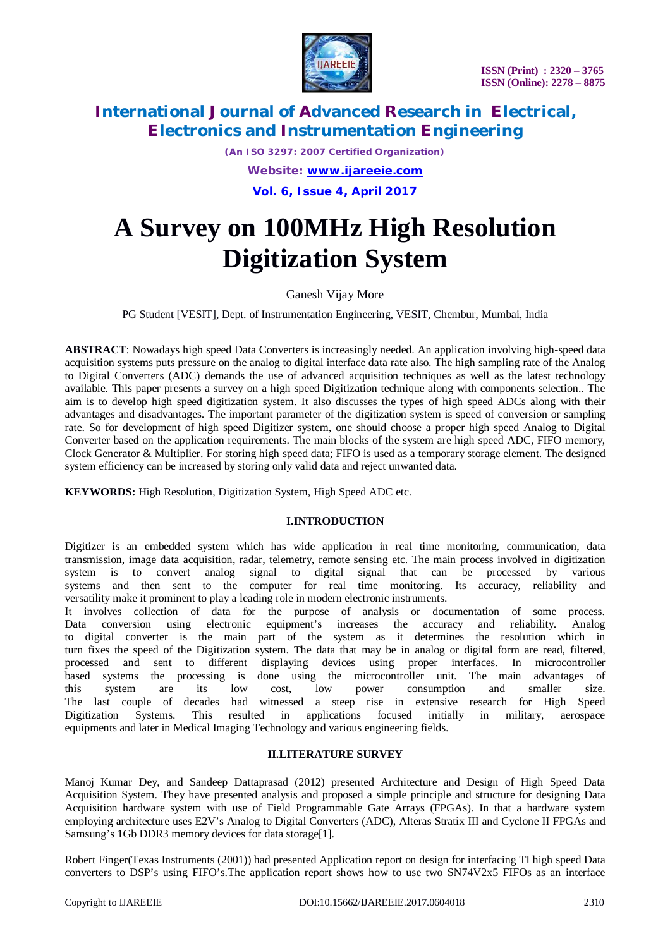

*(An ISO 3297: 2007 Certified Organization)*

*Website: [www.ijareeie.com](http://www.ijareeie.com)*

**Vol. 6, Issue 4, April 2017**

# **A Survey on 100MHz High Resolution Digitization System**

# Ganesh Vijay More

PG Student [VESIT], Dept. of Instrumentation Engineering, VESIT, Chembur, Mumbai, India

**ABSTRACT**: Nowadays high speed Data Converters is increasingly needed. An application involving high-speed data acquisition systems puts pressure on the analog to digital interface data rate also. The high sampling rate of the Analog to Digital Converters (ADC) demands the use of advanced acquisition techniques as well as the latest technology available. This paper presents a survey on a high speed Digitization technique along with components selection.. The aim is to develop high speed digitization system. It also discusses the types of high speed ADCs along with their advantages and disadvantages. The important parameter of the digitization system is speed of conversion or sampling rate. So for development of high speed Digitizer system, one should choose a proper high speed Analog to Digital Converter based on the application requirements. The main blocks of the system are high speed ADC, FIFO memory, Clock Generator & Multiplier. For storing high speed data; FIFO is used as a temporary storage element. The designed system efficiency can be increased by storing only valid data and reject unwanted data.

**KEYWORDS:** High Resolution, Digitization System, High Speed ADC etc.

# **I.INTRODUCTION**

Digitizer is an embedded system which has wide application in real time monitoring, communication, data transmission, image data acquisition, radar, telemetry, remote sensing etc. The main process involved in digitization system is to convert analog signal to digital signal that can be processed by various systems and then sent to the computer for real time monitoring. Its accuracy, reliability and versatility make it prominent to play a leading role in modern electronic instruments.

It involves collection of data for the purpose of analysis or documentation of some process. Data conversion using electronic equipment's increases the accuracy and reliability. Analog to digital converter is the main part of the system as it determines the resolution which in turn fixes the speed of the Digitization system. The data that may be in analog or digital form are read, filtered, processed and sent to different displaying devices using proper interfaces. In microcontroller based systems the processing is done using the microcontroller unit. The main advantages of this system are its low cost, low power consumption and smaller size. this system are its low cost, low power consumption and smaller size. The last couple of decades had witnessed a steep rise in extensive research for High Speed Digitization Systems. This resulted in applications focused initially in military, aerospace equipments and later in Medical Imaging Technology and various engineering fields.

# **II.LITERATURE SURVEY**

Manoj Kumar Dey, and Sandeep Dattaprasad (2012) presented Architecture and Design of High Speed Data Acquisition System. They have presented analysis and proposed a simple principle and structure for designing Data Acquisition hardware system with use of Field Programmable Gate Arrays (FPGAs). In that a hardware system employing architecture uses E2V's Analog to Digital Converters (ADC), Alteras Stratix III and Cyclone II FPGAs and Samsung's 1Gb DDR3 memory devices for data storage[1].

Robert Finger(Texas Instruments (2001)) had presented Application report on design for interfacing TI high speed Data converters to DSP's using FIFO's.The application report shows how to use two SN74V2x5 FIFOs as an interface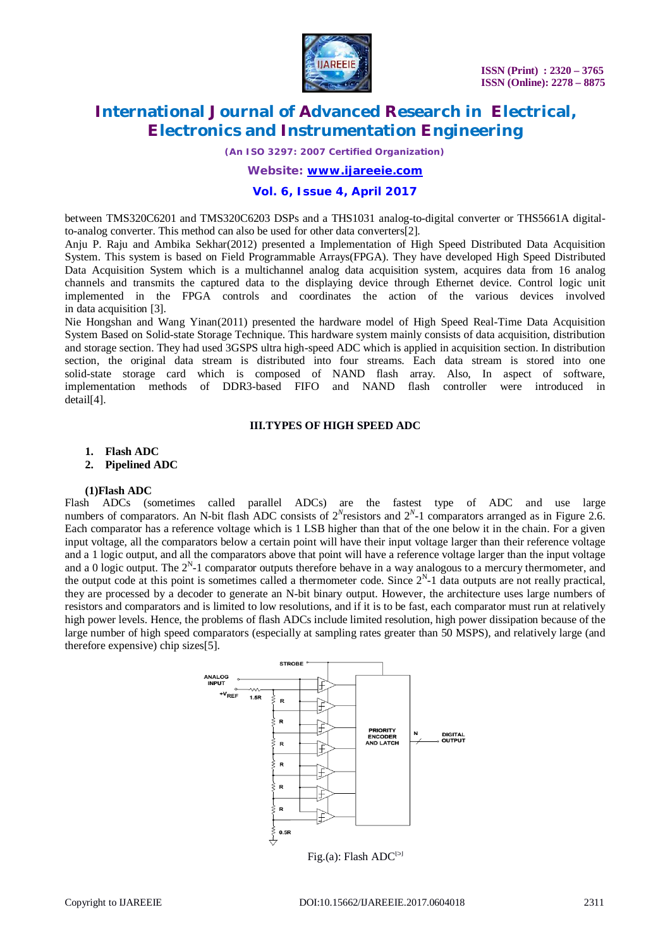

*(An ISO 3297: 2007 Certified Organization)*

#### *Website: [www.ijareeie.com](http://www.ijareeie.com)*

### **Vol. 6, Issue 4, April 2017**

between TMS320C6201 and TMS320C6203 DSPs and a THS1031 analog-to-digital converter or THS5661A digitalto-analog converter. This method can also be used for other data converters[2].

Anju P. Raju and Ambika Sekhar(2012) presented a Implementation of High Speed Distributed Data Acquisition System. This system is based on Field Programmable Arrays(FPGA). They have developed High Speed Distributed Data Acquisition System which is a multichannel analog data acquisition system, acquires data from 16 analog channels and transmits the captured data to the displaying device through Ethernet device. Control logic unit implemented in the FPGA controls and coordinates the action of the various devices involved in data acquisition [3].

Nie Hongshan and Wang Yinan(2011) presented the hardware model of High Speed Real-Time Data Acquisition System Based on Solid-state Storage Technique. This hardware system mainly consists of data acquisition, distribution and storage section. They had used 3GSPS ultra high-speed ADC which is applied in acquisition section. In distribution section, the original data stream is distributed into four streams. Each data stream is stored into one solid-state storage card which is composed of NAND flash array. Also, In aspect of software, implementation methods of DDR3-based FIFO and NAND flash controller were introduced in detail[4].

#### **III.TYPES OF HIGH SPEED ADC**

**1. Flash ADC**

**2. Pipelined ADC**

#### **(1)Flash ADC**

Flash ADCs (sometimes called parallel ADCs) are the fastest type of ADC and use large numbers of comparators. An N-bit flash ADC consists of  $2^N$  resistors and  $2^N$ -1 comparators arranged as in Figure 2.6. Each comparator has a reference voltage which is 1 LSB higher than that of the one below it in the chain. For a given input voltage, all the comparators below a certain point will have their input voltage larger than their reference voltage and a 1 logic output, and all the comparators above that point will have a reference voltage larger than the input voltage and a 0 logic output. The  $2^N$ -1 comparator outputs therefore behave in a way analogous to a mercury thermometer, and the output code at this point is sometimes called a thermometer code. Since  $2<sup>N</sup>$ -1 data outputs are not really practical, they are processed by a decoder to generate an N-bit binary output. However, the architecture uses large numbers of resistors and comparators and is limited to low resolutions, and if it is to be fast, each comparator must run at relatively high power levels. Hence, the problems of flash ADCs include limited resolution, high power dissipation because of the large number of high speed comparators (especially at sampling rates greater than 50 MSPS), and relatively large (and therefore expensive) chip sizes[5].

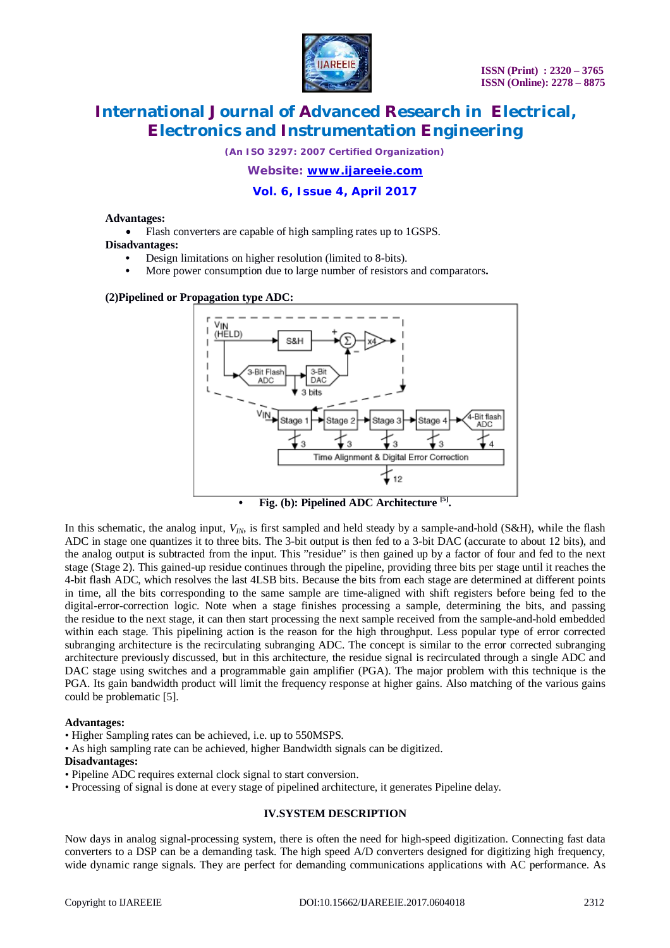

*(An ISO 3297: 2007 Certified Organization)*

### *Website: [www.ijareeie.com](http://www.ijareeie.com)*

# **Vol. 6, Issue 4, April 2017**

#### **Advantages:**

Flash converters are capable of high sampling rates up to 1GSPS.

### **Disadvantages:**

- **•** Design limitations on higher resolution (limited to 8-bits).
- **•** More power consumption due to large number of resistors and comparators**.**

#### **(2)Pipelined or Propagation type ADC:**



**• Fig. (b): Pipelined ADC Architecture [5] .**

In this schematic, the analog input,  $V_{IN}$ , is first sampled and held steady by a sample-and-hold (S&H), while the flash ADC in stage one quantizes it to three bits. The 3-bit output is then fed to a 3-bit DAC (accurate to about 12 bits), and the analog output is subtracted from the input. This "residue" is then gained up by a factor of four and fed to the next stage (Stage 2). This gained-up residue continues through the pipeline, providing three bits per stage until it reaches the 4-bit flash ADC, which resolves the last 4LSB bits. Because the bits from each stage are determined at different points in time, all the bits corresponding to the same sample are time-aligned with shift registers before being fed to the digital-error-correction logic. Note when a stage finishes processing a sample, determining the bits, and passing the residue to the next stage, it can then start processing the next sample received from the sample-and-hold embedded within each stage. This pipelining action is the reason for the high throughput. Less popular type of error corrected subranging architecture is the recirculating subranging ADC. The concept is similar to the error corrected subranging architecture previously discussed, but in this architecture, the residue signal is recirculated through a single ADC and DAC stage using switches and a programmable gain amplifier (PGA). The major problem with this technique is the PGA. Its gain bandwidth product will limit the frequency response at higher gains. Also matching of the various gains could be problematic [5].

#### **Advantages:**

- Higher Sampling rates can be achieved, i.e. up to 550MSPS.
- As high sampling rate can be achieved, higher Bandwidth signals can be digitized.

#### **Disadvantages:**

- Pipeline ADC requires external clock signal to start conversion.
- Processing of signal is done at every stage of pipelined architecture, it generates Pipeline delay.

#### **IV.SYSTEM DESCRIPTION**

Now days in analog signal-processing system, there is often the need for high-speed digitization. Connecting fast data converters to a DSP can be a demanding task. The high speed A/D converters designed for digitizing high frequency, wide dynamic range signals. They are perfect for demanding communications applications with AC performance. As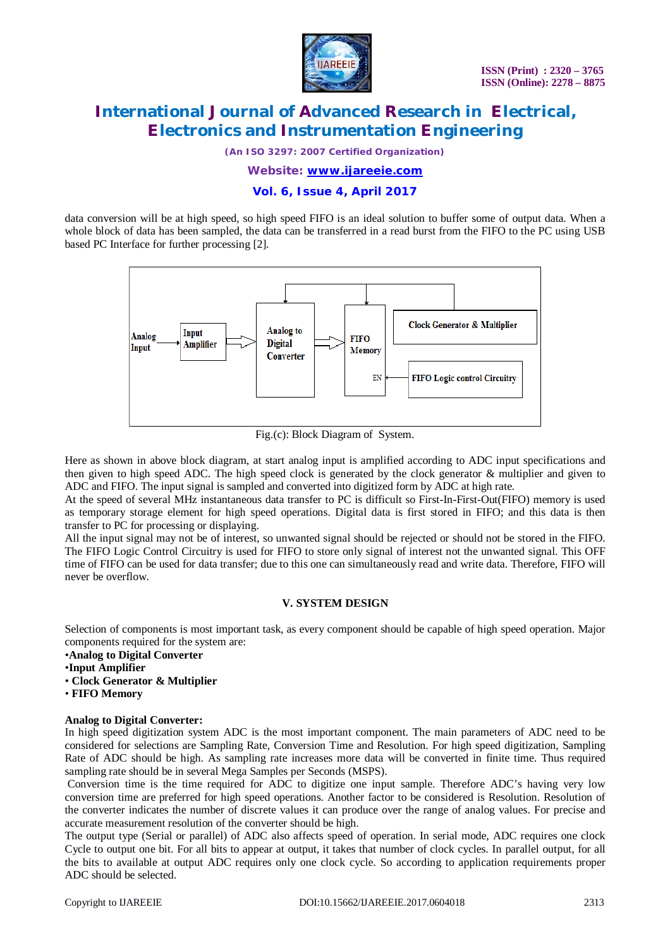

*(An ISO 3297: 2007 Certified Organization)*

*Website: [www.ijareeie.com](http://www.ijareeie.com)*

**Vol. 6, Issue 4, April 2017**

data conversion will be at high speed, so high speed FIFO is an ideal solution to buffer some of output data. When a whole block of data has been sampled, the data can be transferred in a read burst from the FIFO to the PC using USB based PC Interface for further processing [2].



Fig.(c): Block Diagram of System.

Here as shown in above block diagram, at start analog input is amplified according to ADC input specifications and then given to high speed ADC. The high speed clock is generated by the clock generator & multiplier and given to ADC and FIFO. The input signal is sampled and converted into digitized form by ADC at high rate.

At the speed of several MHz instantaneous data transfer to PC is difficult so First-In-First-Out(FIFO) memory is used as temporary storage element for high speed operations. Digital data is first stored in FIFO; and this data is then transfer to PC for processing or displaying.

All the input signal may not be of interest, so unwanted signal should be rejected or should not be stored in the FIFO. The FIFO Logic Control Circuitry is used for FIFO to store only signal of interest not the unwanted signal. This OFF time of FIFO can be used for data transfer; due to this one can simultaneously read and write data. Therefore, FIFO will never be overflow.

#### **V. SYSTEM DESIGN**

Selection of components is most important task, as every component should be capable of high speed operation. Major components required for the system are:

- *•***Analog to Digital Converter**
- *•***Input Amplifier**
- **Clock Generator & Multiplier**
- **FIFO Memory**

#### **Analog to Digital Converter:**

In high speed digitization system ADC is the most important component. The main parameters of ADC need to be considered for selections are Sampling Rate, Conversion Time and Resolution. For high speed digitization, Sampling Rate of ADC should be high. As sampling rate increases more data will be converted in finite time. Thus required sampling rate should be in several Mega Samples per Seconds (MSPS).

Conversion time is the time required for ADC to digitize one input sample. Therefore ADC's having very low conversion time are preferred for high speed operations. Another factor to be considered is Resolution. Resolution of the converter indicates the number of discrete values it can produce over the range of analog values. For precise and accurate measurement resolution of the converter should be high.

The output type (Serial or parallel) of ADC also affects speed of operation. In serial mode, ADC requires one clock Cycle to output one bit. For all bits to appear at output, it takes that number of clock cycles. In parallel output, for all the bits to available at output ADC requires only one clock cycle. So according to application requirements proper ADC should be selected.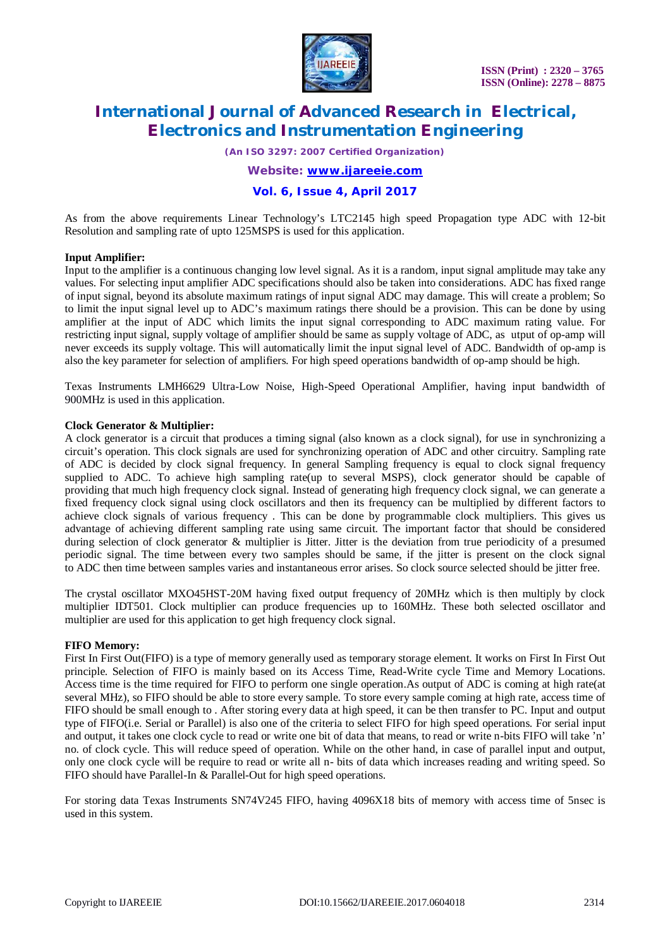

*(An ISO 3297: 2007 Certified Organization)*

*Website: [www.ijareeie.com](http://www.ijareeie.com)*

# **Vol. 6, Issue 4, April 2017**

As from the above requirements Linear Technology's LTC2145 high speed Propagation type ADC with 12-bit Resolution and sampling rate of upto 125MSPS is used for this application.

#### **Input Amplifier:**

Input to the amplifier is a continuous changing low level signal. As it is a random, input signal amplitude may take any values. For selecting input amplifier ADC specifications should also be taken into considerations. ADC has fixed range of input signal, beyond its absolute maximum ratings of input signal ADC may damage. This will create a problem; So to limit the input signal level up to ADC's maximum ratings there should be a provision. This can be done by using amplifier at the input of ADC which limits the input signal corresponding to ADC maximum rating value. For restricting input signal, supply voltage of amplifier should be same as supply voltage of ADC, as utput of op-amp will never exceeds its supply voltage. This will automatically limit the input signal level of ADC. Bandwidth of op-amp is also the key parameter for selection of amplifiers. For high speed operations bandwidth of op-amp should be high.

Texas Instruments LMH6629 Ultra-Low Noise, High-Speed Operational Amplifier, having input bandwidth of 900MHz is used in this application.

#### **Clock Generator & Multiplier:**

A clock generator is a circuit that produces a timing signal (also known as a clock signal), for use in synchronizing a circuit's operation. This clock signals are used for synchronizing operation of ADC and other circuitry. Sampling rate of ADC is decided by clock signal frequency. In general Sampling frequency is equal to clock signal frequency supplied to ADC. To achieve high sampling rate(up to several MSPS), clock generator should be capable of providing that much high frequency clock signal. Instead of generating high frequency clock signal, we can generate a fixed frequency clock signal using clock oscillators and then its frequency can be multiplied by different factors to achieve clock signals of various frequency . This can be done by programmable clock multipliers. This gives us advantage of achieving different sampling rate using same circuit. The important factor that should be considered during selection of clock generator & multiplier is Jitter. Jitter is the deviation from true periodicity of a presumed periodic signal. The time between every two samples should be same, if the jitter is present on the clock signal to ADC then time between samples varies and instantaneous error arises. So clock source selected should be jitter free.

The crystal oscillator MXO45HST-20M having fixed output frequency of 20MHz which is then multiply by clock multiplier IDT501. Clock multiplier can produce frequencies up to 160MHz. These both selected oscillator and multiplier are used for this application to get high frequency clock signal.

#### **FIFO Memory:**

First In First Out(FIFO) is a type of memory generally used as temporary storage element. It works on First In First Out principle. Selection of FIFO is mainly based on its Access Time, Read-Write cycle Time and Memory Locations. Access time is the time required for FIFO to perform one single operation.As output of ADC is coming at high rate(at several MHz), so FIFO should be able to store every sample. To store every sample coming at high rate, access time of FIFO should be small enough to . After storing every data at high speed, it can be then transfer to PC. Input and output type of FIFO(i.e. Serial or Parallel) is also one of the criteria to select FIFO for high speed operations. For serial input and output, it takes one clock cycle to read or write one bit of data that means, to read or write n-bits FIFO will take 'n' no. of clock cycle. This will reduce speed of operation. While on the other hand, in case of parallel input and output, only one clock cycle will be require to read or write all n- bits of data which increases reading and writing speed. So FIFO should have Parallel-In & Parallel-Out for high speed operations.

For storing data Texas Instruments SN74V245 FIFO, having 4096X18 bits of memory with access time of 5nsec is used in this system.